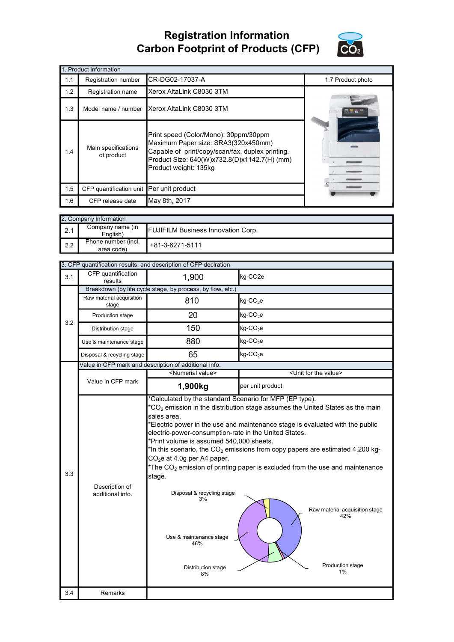## Registration Information Carbon Footprint of Products (CFP)



| 1. Product information |                                                                                                                                                                                                                                                |                          |                   |  |
|------------------------|------------------------------------------------------------------------------------------------------------------------------------------------------------------------------------------------------------------------------------------------|--------------------------|-------------------|--|
| 1.1                    | Registration number                                                                                                                                                                                                                            | CR-DG02-17037-A          | 1.7 Product photo |  |
| 1.2                    | Registration name                                                                                                                                                                                                                              | Xerox AltaLink C8030 3TM |                   |  |
| 1.3                    | Model name / number                                                                                                                                                                                                                            | Xerox AltaLink C8030 3TM |                   |  |
| 1.4                    | Print speed (Color/Mono): 30ppm/30ppm<br>Maximum Paper size: SRA3(320x450mm)<br>Main specifications<br>Capable of print/copy/scan/fax, duplex printing.<br>of product<br>Product Size: 640(W)x732.8(D)x1142.7(H) (mm)<br>Product weight: 135kg |                          |                   |  |
| 1.5                    | CFP quantification unit Per unit product                                                                                                                                                                                                       |                          |                   |  |
| 1.6                    | CFP release date                                                                                                                                                                                                                               | May 8th, 2017            |                   |  |

| 2. Company Information |                                   |                                           |  |
|------------------------|-----------------------------------|-------------------------------------------|--|
| 2.1                    | Company name (in<br>English)      | <b>FUJIFILM Business Innovation Corp.</b> |  |
| 2.2                    | Phone number (incl.<br>area code) | $+81-3-6271-5111$                         |  |

|     |                                    | 3. CFP quantification results, and description of CFP declration                                                                                                                                                                                                        |                                                                                                                                                                                                                                                                                                                                                                                                             |
|-----|------------------------------------|-------------------------------------------------------------------------------------------------------------------------------------------------------------------------------------------------------------------------------------------------------------------------|-------------------------------------------------------------------------------------------------------------------------------------------------------------------------------------------------------------------------------------------------------------------------------------------------------------------------------------------------------------------------------------------------------------|
| 3.1 | CFP quantification<br>results      | 1,900                                                                                                                                                                                                                                                                   | kg-CO <sub>2e</sub>                                                                                                                                                                                                                                                                                                                                                                                         |
|     |                                    | Breakdown (by life cycle stage, by process, by flow, etc.)                                                                                                                                                                                                              |                                                                                                                                                                                                                                                                                                                                                                                                             |
| 3.2 | Raw material acquisition<br>stage  | 810                                                                                                                                                                                                                                                                     | kg-CO <sub>2</sub> e                                                                                                                                                                                                                                                                                                                                                                                        |
|     | Production stage                   | 20                                                                                                                                                                                                                                                                      | kg-CO <sub>2</sub> e                                                                                                                                                                                                                                                                                                                                                                                        |
|     | Distribution stage                 | 150                                                                                                                                                                                                                                                                     | kg-CO <sub>2</sub> e                                                                                                                                                                                                                                                                                                                                                                                        |
|     | Use & maintenance stage            | 880                                                                                                                                                                                                                                                                     | kg-CO <sub>2</sub> e                                                                                                                                                                                                                                                                                                                                                                                        |
|     | Disposal & recycling stage         | 65                                                                                                                                                                                                                                                                      | kg-CO <sub>2</sub> e                                                                                                                                                                                                                                                                                                                                                                                        |
|     |                                    | Value in CFP mark and description of additional info.                                                                                                                                                                                                                   |                                                                                                                                                                                                                                                                                                                                                                                                             |
|     |                                    | <numerial value=""></numerial>                                                                                                                                                                                                                                          | <unit for="" the="" value=""></unit>                                                                                                                                                                                                                                                                                                                                                                        |
|     | Value in CFP mark                  | 1,900kg                                                                                                                                                                                                                                                                 | per unit product                                                                                                                                                                                                                                                                                                                                                                                            |
| 3.3 | Description of<br>additional info. | sales area.<br>electric-power-consumption-rate in the United States.<br>*Print volume is assumed 540,000 sheets.<br>CO <sub>2</sub> e at 4.0g per A4 paper.<br>stage.<br>Disposal & recycling stage<br>3%<br>Use & maintenance stage<br>46%<br>Distribution stage<br>8% | $*CO2$ emission in the distribution stage assumes the United States as the main<br>*Electric power in the use and maintenance stage is evaluated with the public<br>*In this scenario, the $CO2$ emissions from copy papers are estimated 4,200 kg-<br>*The $CO2$ emission of printing paper is excluded from the use and maintenance<br>Raw material acquisition stage<br>42%<br>Production stage<br>$1\%$ |
| 3.4 | Remarks                            |                                                                                                                                                                                                                                                                         |                                                                                                                                                                                                                                                                                                                                                                                                             |